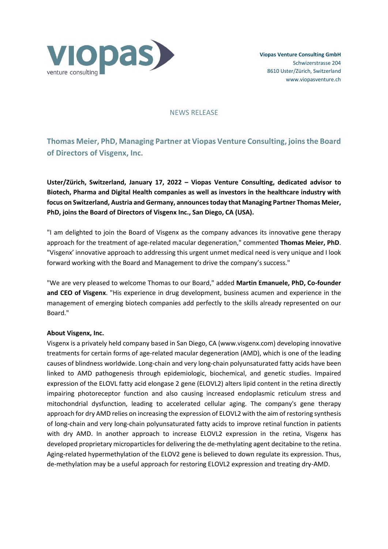

## NEWS RELEASE

# **Thomas Meier, PhD, Managing Partner at Viopas Venture Consulting, joinsthe Board of Directors of Visgenx, Inc.**

**Uster/Zürich, Switzerland, January 17, 2022 – Viopas Venture Consulting, dedicated advisor to Biotech, Pharma and Digital Health companies as well as investors in the healthcare industry with focus on Switzerland, Austria and Germany, announcestoday that Managing Partner Thomas Meier, PhD, joins the Board of Directors of Visgenx Inc., San Diego, CA (USA).**

"I am delighted to join the Board of Visgenx as the company advances its innovative gene therapy approach for the treatment of age-related macular degeneration," commented **Thomas Meier, PhD**. "Visgenx' innovative approach to addressing this urgent unmet medical need is very unique and I look forward working with the Board and Management to drive the company's success."

"We are very pleased to welcome Thomas to our Board," added **Martin Emanuele, PhD, Co-founder and CEO of Visgenx**. "His experience in drug development, business acumen and experience in the management of emerging biotech companies add perfectly to the skills already represented on our Board."

# **About Visgenx, Inc.**

Visgenx is a privately held company based in San Diego, CA (www.visgenx.com) developing innovative treatments for certain forms of age-related macular degeneration (AMD), which is one of the leading causes of blindness worldwide. Long-chain and very long-chain polyunsaturated fatty acids have been linked to AMD pathogenesis through epidemiologic, biochemical, and genetic studies. Impaired expression of the ELOVL fatty acid elongase 2 gene (ELOVL2) alters lipid content in the retina directly impairing photoreceptor function and also causing increased endoplasmic reticulum stress and mitochondrial dysfunction, leading to accelerated cellular aging. The company's gene therapy approach for dry AMD relies on increasing the expression of ELOVL2 with the aim of restoring synthesis of long-chain and very long-chain polyunsaturated fatty acids to improve retinal function in patients with dry AMD. In another approach to increase ELOVL2 expression in the retina, Visgenx has developed proprietary microparticles for delivering the de-methylating agent decitabine to the retina. Aging-related hypermethylation of the ELOV2 gene is believed to down regulate its expression. Thus, de-methylation may be a useful approach for restoring ELOVL2 expression and treating dry-AMD.